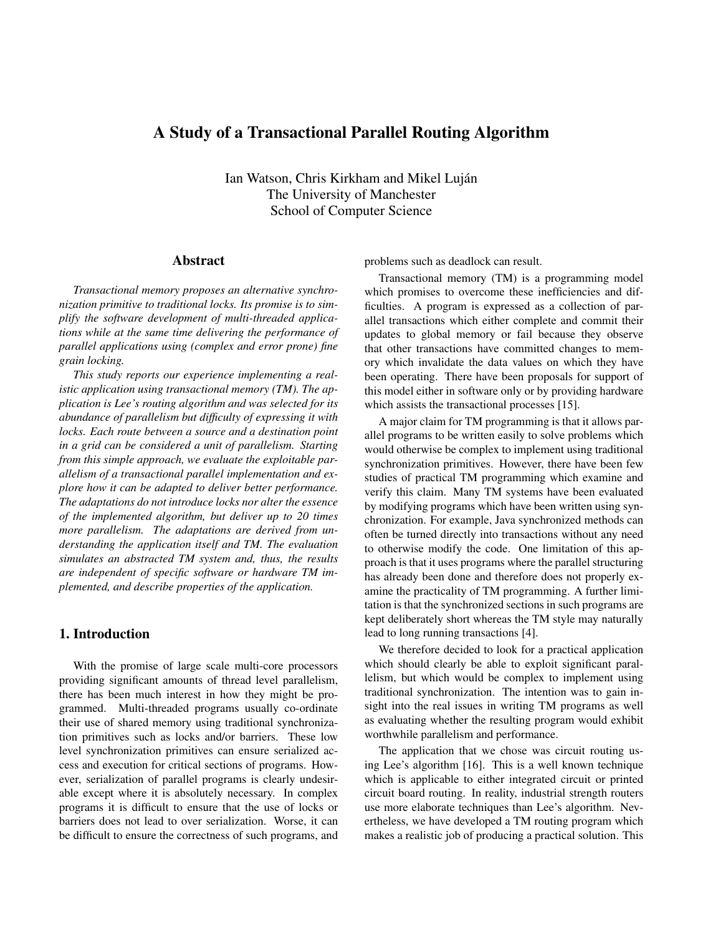# A Study of a Transactional Parallel Routing Algorithm

Ian Watson, Chris Kirkham and Mikel Luján The University of Manchester School of Computer Science

# Abstract

*Transactional memory proposes an alternative synchronization primitive to traditional locks. Its promise is to simplify the software development of multi-threaded applications while at the same time delivering the performance of parallel applications using (complex and error prone) fine grain locking.*

*This study reports our experience implementing a realistic application using transactional memory (TM). The application is Lee's routing algorithm and was selected for its abundance of parallelism but difficulty of expressing it with locks. Each route between a source and a destination point in a grid can be considered a unit of parallelism. Starting from this simple approach, we evaluate the exploitable parallelism of a transactional parallel implementation and explore how it can be adapted to deliver better performance. The adaptations do not introduce locks nor alter the essence of the implemented algorithm, but deliver up to 20 times more parallelism. The adaptations are derived from understanding the application itself and TM. The evaluation simulates an abstracted TM system and, thus, the results are independent of specific software or hardware TM implemented, and describe properties of the application.*

## 1. Introduction

With the promise of large scale multi-core processors providing significant amounts of thread level parallelism, there has been much interest in how they might be programmed. Multi-threaded programs usually co-ordinate their use of shared memory using traditional synchronization primitives such as locks and/or barriers. These low level synchronization primitives can ensure serialized access and execution for critical sections of programs. However, serialization of parallel programs is clearly undesirable except where it is absolutely necessary. In complex programs it is difficult to ensure that the use of locks or barriers does not lead to over serialization. Worse, it can be difficult to ensure the correctness of such programs, and problems such as deadlock can result.

Transactional memory (TM) is a programming model which promises to overcome these inefficiencies and difficulties. A program is expressed as a collection of parallel transactions which either complete and commit their updates to global memory or fail because they observe that other transactions have committed changes to memory which invalidate the data values on which they have been operating. There have been proposals for support of this model either in software only or by providing hardware which assists the transactional processes [15].

A major claim for TM programming is that it allows parallel programs to be written easily to solve problems which would otherwise be complex to implement using traditional synchronization primitives. However, there have been few studies of practical TM programming which examine and verify this claim. Many TM systems have been evaluated by modifying programs which have been written using synchronization. For example, Java synchronized methods can often be turned directly into transactions without any need to otherwise modify the code. One limitation of this approach is that it uses programs where the parallel structuring has already been done and therefore does not properly examine the practicality of TM programming. A further limitation is that the synchronized sections in such programs are kept deliberately short whereas the TM style may naturally lead to long running transactions [4].

We therefore decided to look for a practical application which should clearly be able to exploit significant parallelism, but which would be complex to implement using traditional synchronization. The intention was to gain insight into the real issues in writing TM programs as well as evaluating whether the resulting program would exhibit worthwhile parallelism and performance.

The application that we chose was circuit routing using Lee's algorithm [16]. This is a well known technique which is applicable to either integrated circuit or printed circuit board routing. In reality, industrial strength routers use more elaborate techniques than Lee's algorithm. Nevertheless, we have developed a TM routing program which makes a realistic job of producing a practical solution. This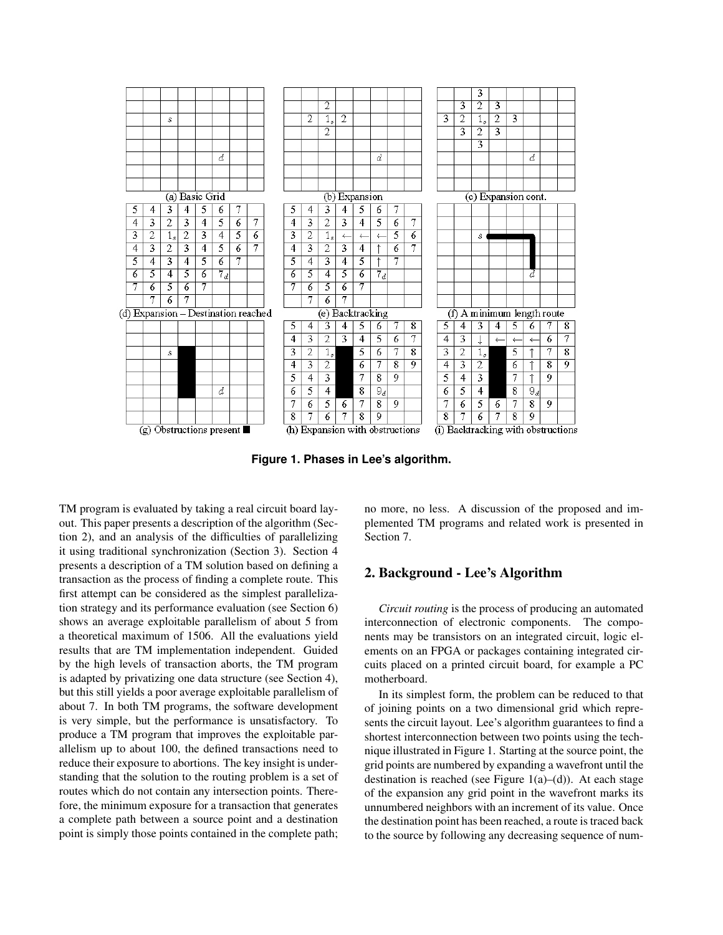

**Figure 1. Phases in Lee's algorithm.**

TM program is evaluated by taking a real circuit board layout. This paper presents a description of the algorithm (Section 2), and an analysis of the difficulties of parallelizing it using traditional synchronization (Section 3). Section 4 presents a description of a TM solution based on defining a transaction as the process of finding a complete route. This first attempt can be considered as the simplest parallelization strategy and its performance evaluation (see Section 6) shows an average exploitable parallelism of about 5 from a theoretical maximum of 1506. All the evaluations yield results that are TM implementation independent. Guided by the high levels of transaction aborts, the TM program is adapted by privatizing one data structure (see Section 4), but this still yields a poor average exploitable parallelism of about 7. In both TM programs, the software development is very simple, but the performance is unsatisfactory. To produce a TM program that improves the exploitable parallelism up to about 100, the defined transactions need to reduce their exposure to abortions. The key insight is understanding that the solution to the routing problem is a set of routes which do not contain any intersection points. Therefore, the minimum exposure for a transaction that generates a complete path between a source point and a destination point is simply those points contained in the complete path;

no more, no less. A discussion of the proposed and implemented TM programs and related work is presented in Section 7.

## 2. Background - Lee's Algorithm

*Circuit routing* is the process of producing an automated interconnection of electronic components. The components may be transistors on an integrated circuit, logic elements on an FPGA or packages containing integrated circuits placed on a printed circuit board, for example a PC motherboard.

In its simplest form, the problem can be reduced to that of joining points on a two dimensional grid which represents the circuit layout. Lee's algorithm guarantees to find a shortest interconnection between two points using the technique illustrated in Figure 1. Starting at the source point, the grid points are numbered by expanding a wavefront until the destination is reached (see Figure  $1(a)$ –(d)). At each stage of the expansion any grid point in the wavefront marks its unnumbered neighbors with an increment of its value. Once the destination point has been reached, a route is traced back to the source by following any decreasing sequence of num-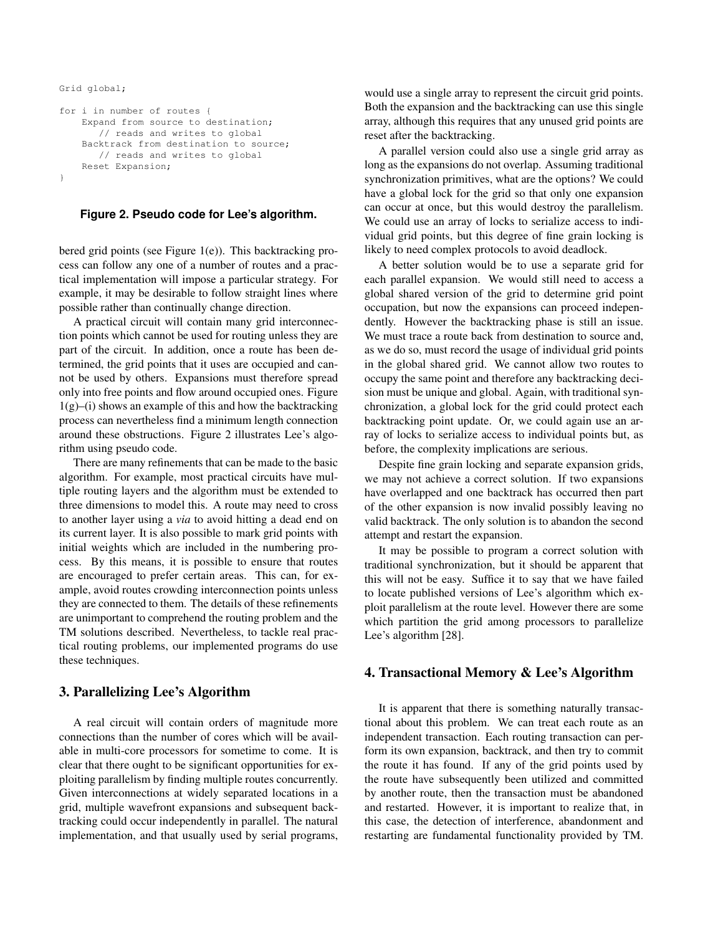```
Grid global;
```

```
for i in number of routes {
    Expand from source to destination;
       // reads and writes to global
    Backtrack from destination to source;
       // reads and writes to global
    Reset Expansion;
}
```
#### **Figure 2. Pseudo code for Lee's algorithm.**

bered grid points (see Figure 1(e)). This backtracking process can follow any one of a number of routes and a practical implementation will impose a particular strategy. For example, it may be desirable to follow straight lines where possible rather than continually change direction.

A practical circuit will contain many grid interconnection points which cannot be used for routing unless they are part of the circuit. In addition, once a route has been determined, the grid points that it uses are occupied and cannot be used by others. Expansions must therefore spread only into free points and flow around occupied ones. Figure  $1(g)$ –(i) shows an example of this and how the backtracking process can nevertheless find a minimum length connection around these obstructions. Figure 2 illustrates Lee's algorithm using pseudo code.

There are many refinements that can be made to the basic algorithm. For example, most practical circuits have multiple routing layers and the algorithm must be extended to three dimensions to model this. A route may need to cross to another layer using a *via* to avoid hitting a dead end on its current layer. It is also possible to mark grid points with initial weights which are included in the numbering process. By this means, it is possible to ensure that routes are encouraged to prefer certain areas. This can, for example, avoid routes crowding interconnection points unless they are connected to them. The details of these refinements are unimportant to comprehend the routing problem and the TM solutions described. Nevertheless, to tackle real practical routing problems, our implemented programs do use these techniques.

# 3. Parallelizing Lee's Algorithm

A real circuit will contain orders of magnitude more connections than the number of cores which will be available in multi-core processors for sometime to come. It is clear that there ought to be significant opportunities for exploiting parallelism by finding multiple routes concurrently. Given interconnections at widely separated locations in a grid, multiple wavefront expansions and subsequent backtracking could occur independently in parallel. The natural implementation, and that usually used by serial programs, would use a single array to represent the circuit grid points. Both the expansion and the backtracking can use this single array, although this requires that any unused grid points are reset after the backtracking.

A parallel version could also use a single grid array as long as the expansions do not overlap. Assuming traditional synchronization primitives, what are the options? We could have a global lock for the grid so that only one expansion can occur at once, but this would destroy the parallelism. We could use an array of locks to serialize access to individual grid points, but this degree of fine grain locking is likely to need complex protocols to avoid deadlock.

A better solution would be to use a separate grid for each parallel expansion. We would still need to access a global shared version of the grid to determine grid point occupation, but now the expansions can proceed independently. However the backtracking phase is still an issue. We must trace a route back from destination to source and, as we do so, must record the usage of individual grid points in the global shared grid. We cannot allow two routes to occupy the same point and therefore any backtracking decision must be unique and global. Again, with traditional synchronization, a global lock for the grid could protect each backtracking point update. Or, we could again use an array of locks to serialize access to individual points but, as before, the complexity implications are serious.

Despite fine grain locking and separate expansion grids, we may not achieve a correct solution. If two expansions have overlapped and one backtrack has occurred then part of the other expansion is now invalid possibly leaving no valid backtrack. The only solution is to abandon the second attempt and restart the expansion.

It may be possible to program a correct solution with traditional synchronization, but it should be apparent that this will not be easy. Suffice it to say that we have failed to locate published versions of Lee's algorithm which exploit parallelism at the route level. However there are some which partition the grid among processors to parallelize Lee's algorithm [28].

### 4. Transactional Memory & Lee's Algorithm

It is apparent that there is something naturally transactional about this problem. We can treat each route as an independent transaction. Each routing transaction can perform its own expansion, backtrack, and then try to commit the route it has found. If any of the grid points used by the route have subsequently been utilized and committed by another route, then the transaction must be abandoned and restarted. However, it is important to realize that, in this case, the detection of interference, abandonment and restarting are fundamental functionality provided by TM.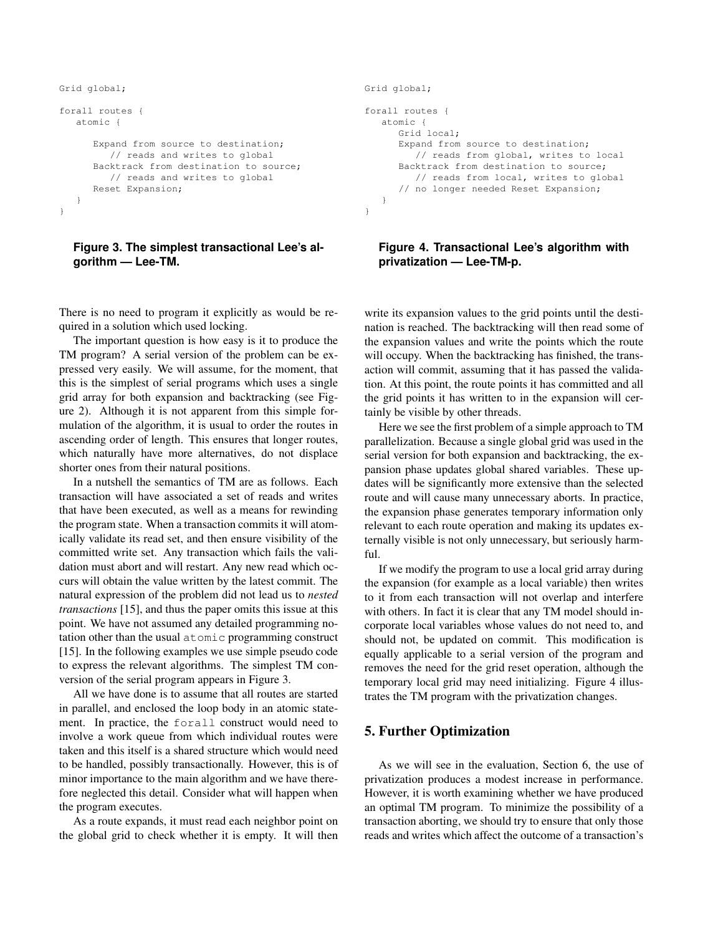```
Grid global;
forall routes {
   atomic {
      Expand from source to destination;
         // reads and writes to global
      Backtrack from destination to source;
        // reads and writes to global
      Reset Expansion;
   }
}
```
#### **Figure 3. The simplest transactional Lee's algorithm — Lee-TM.**

There is no need to program it explicitly as would be required in a solution which used locking.

The important question is how easy is it to produce the TM program? A serial version of the problem can be expressed very easily. We will assume, for the moment, that this is the simplest of serial programs which uses a single grid array for both expansion and backtracking (see Figure 2). Although it is not apparent from this simple formulation of the algorithm, it is usual to order the routes in ascending order of length. This ensures that longer routes, which naturally have more alternatives, do not displace shorter ones from their natural positions.

In a nutshell the semantics of TM are as follows. Each transaction will have associated a set of reads and writes that have been executed, as well as a means for rewinding the program state. When a transaction commits it will atomically validate its read set, and then ensure visibility of the committed write set. Any transaction which fails the validation must abort and will restart. Any new read which occurs will obtain the value written by the latest commit. The natural expression of the problem did not lead us to *nested transactions* [15], and thus the paper omits this issue at this point. We have not assumed any detailed programming notation other than the usual atomic programming construct [15]. In the following examples we use simple pseudo code to express the relevant algorithms. The simplest TM conversion of the serial program appears in Figure 3.

All we have done is to assume that all routes are started in parallel, and enclosed the loop body in an atomic statement. In practice, the forall construct would need to involve a work queue from which individual routes were taken and this itself is a shared structure which would need to be handled, possibly transactionally. However, this is of minor importance to the main algorithm and we have therefore neglected this detail. Consider what will happen when the program executes.

As a route expands, it must read each neighbor point on the global grid to check whether it is empty. It will then

```
Grid global;
forall routes {
  atomic {
      Grid local;
      Expand from source to destination;
         // reads from global, writes to local
      Backtrack from destination to source;
         // reads from local, writes to global
      // no longer needed Reset Expansion;
   }
```
}

# **Figure 4. Transactional Lee's algorithm with privatization — Lee-TM-p.**

write its expansion values to the grid points until the destination is reached. The backtracking will then read some of the expansion values and write the points which the route will occupy. When the backtracking has finished, the transaction will commit, assuming that it has passed the validation. At this point, the route points it has committed and all the grid points it has written to in the expansion will certainly be visible by other threads.

Here we see the first problem of a simple approach to TM parallelization. Because a single global grid was used in the serial version for both expansion and backtracking, the expansion phase updates global shared variables. These updates will be significantly more extensive than the selected route and will cause many unnecessary aborts. In practice, the expansion phase generates temporary information only relevant to each route operation and making its updates externally visible is not only unnecessary, but seriously harmful.

If we modify the program to use a local grid array during the expansion (for example as a local variable) then writes to it from each transaction will not overlap and interfere with others. In fact it is clear that any TM model should incorporate local variables whose values do not need to, and should not, be updated on commit. This modification is equally applicable to a serial version of the program and removes the need for the grid reset operation, although the temporary local grid may need initializing. Figure 4 illustrates the TM program with the privatization changes.

# 5. Further Optimization

As we will see in the evaluation, Section 6, the use of privatization produces a modest increase in performance. However, it is worth examining whether we have produced an optimal TM program. To minimize the possibility of a transaction aborting, we should try to ensure that only those reads and writes which affect the outcome of a transaction's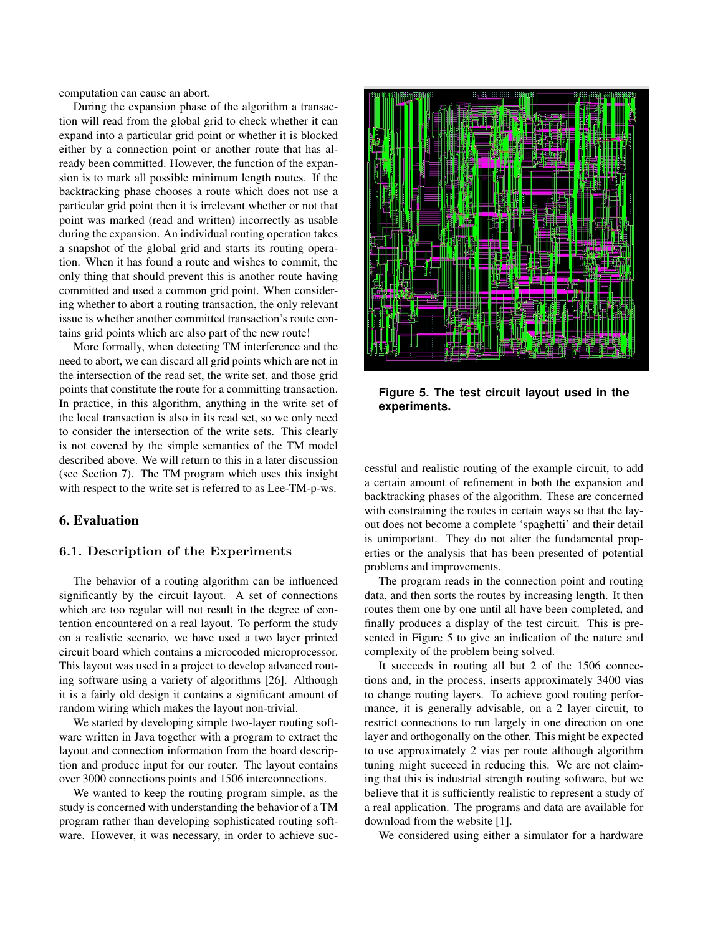computation can cause an abort.

During the expansion phase of the algorithm a transaction will read from the global grid to check whether it can expand into a particular grid point or whether it is blocked either by a connection point or another route that has already been committed. However, the function of the expansion is to mark all possible minimum length routes. If the backtracking phase chooses a route which does not use a particular grid point then it is irrelevant whether or not that point was marked (read and written) incorrectly as usable during the expansion. An individual routing operation takes a snapshot of the global grid and starts its routing operation. When it has found a route and wishes to commit, the only thing that should prevent this is another route having committed and used a common grid point. When considering whether to abort a routing transaction, the only relevant issue is whether another committed transaction's route contains grid points which are also part of the new route!

More formally, when detecting TM interference and the need to abort, we can discard all grid points which are not in the intersection of the read set, the write set, and those grid points that constitute the route for a committing transaction. In practice, in this algorithm, anything in the write set of the local transaction is also in its read set, so we only need to consider the intersection of the write sets. This clearly is not covered by the simple semantics of the TM model described above. We will return to this in a later discussion (see Section 7). The TM program which uses this insight with respect to the write set is referred to as Lee-TM-p-ws.

#### 6. Evaluation

# 6.1. Description of the Experiments

The behavior of a routing algorithm can be influenced significantly by the circuit layout. A set of connections which are too regular will not result in the degree of contention encountered on a real layout. To perform the study on a realistic scenario, we have used a two layer printed circuit board which contains a microcoded microprocessor. This layout was used in a project to develop advanced routing software using a variety of algorithms [26]. Although it is a fairly old design it contains a significant amount of random wiring which makes the layout non-trivial.

We started by developing simple two-layer routing software written in Java together with a program to extract the layout and connection information from the board description and produce input for our router. The layout contains over 3000 connections points and 1506 interconnections.

We wanted to keep the routing program simple, as the study is concerned with understanding the behavior of a TM program rather than developing sophisticated routing software. However, it was necessary, in order to achieve suc-



**Figure 5. The test circuit layout used in the experiments.**

cessful and realistic routing of the example circuit, to add a certain amount of refinement in both the expansion and backtracking phases of the algorithm. These are concerned with constraining the routes in certain ways so that the layout does not become a complete 'spaghetti' and their detail is unimportant. They do not alter the fundamental properties or the analysis that has been presented of potential problems and improvements.

The program reads in the connection point and routing data, and then sorts the routes by increasing length. It then routes them one by one until all have been completed, and finally produces a display of the test circuit. This is presented in Figure 5 to give an indication of the nature and complexity of the problem being solved.

It succeeds in routing all but 2 of the 1506 connections and, in the process, inserts approximately 3400 vias to change routing layers. To achieve good routing performance, it is generally advisable, on a 2 layer circuit, to restrict connections to run largely in one direction on one layer and orthogonally on the other. This might be expected to use approximately 2 vias per route although algorithm tuning might succeed in reducing this. We are not claiming that this is industrial strength routing software, but we believe that it is sufficiently realistic to represent a study of a real application. The programs and data are available for download from the website [1].

We considered using either a simulator for a hardware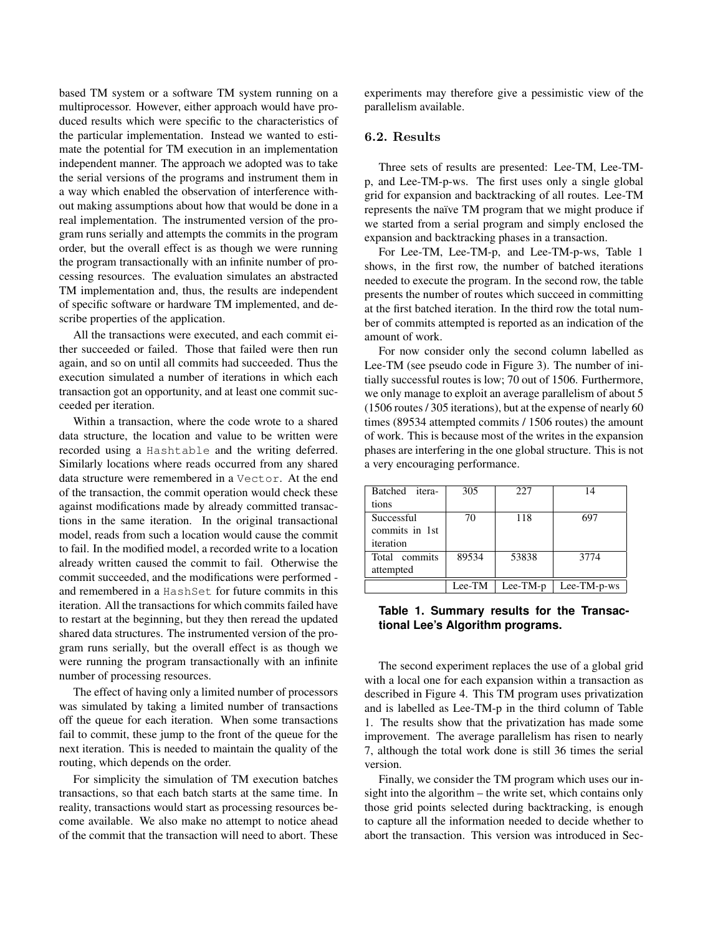based TM system or a software TM system running on a multiprocessor. However, either approach would have produced results which were specific to the characteristics of the particular implementation. Instead we wanted to estimate the potential for TM execution in an implementation independent manner. The approach we adopted was to take the serial versions of the programs and instrument them in a way which enabled the observation of interference without making assumptions about how that would be done in a real implementation. The instrumented version of the program runs serially and attempts the commits in the program order, but the overall effect is as though we were running the program transactionally with an infinite number of processing resources. The evaluation simulates an abstracted TM implementation and, thus, the results are independent of specific software or hardware TM implemented, and describe properties of the application.

All the transactions were executed, and each commit either succeeded or failed. Those that failed were then run again, and so on until all commits had succeeded. Thus the execution simulated a number of iterations in which each transaction got an opportunity, and at least one commit succeeded per iteration.

Within a transaction, where the code wrote to a shared data structure, the location and value to be written were recorded using a Hashtable and the writing deferred. Similarly locations where reads occurred from any shared data structure were remembered in a Vector. At the end of the transaction, the commit operation would check these against modifications made by already committed transactions in the same iteration. In the original transactional model, reads from such a location would cause the commit to fail. In the modified model, a recorded write to a location already written caused the commit to fail. Otherwise the commit succeeded, and the modifications were performed and remembered in a HashSet for future commits in this iteration. All the transactions for which commits failed have to restart at the beginning, but they then reread the updated shared data structures. The instrumented version of the program runs serially, but the overall effect is as though we were running the program transactionally with an infinite number of processing resources.

The effect of having only a limited number of processors was simulated by taking a limited number of transactions off the queue for each iteration. When some transactions fail to commit, these jump to the front of the queue for the next iteration. This is needed to maintain the quality of the routing, which depends on the order.

For simplicity the simulation of TM execution batches transactions, so that each batch starts at the same time. In reality, transactions would start as processing resources become available. We also make no attempt to notice ahead of the commit that the transaction will need to abort. These

experiments may therefore give a pessimistic view of the parallelism available.

## 6.2. Results

Three sets of results are presented: Lee-TM, Lee-TMp, and Lee-TM-p-ws. The first uses only a single global grid for expansion and backtracking of all routes. Lee-TM represents the naïve TM program that we might produce if we started from a serial program and simply enclosed the expansion and backtracking phases in a transaction.

For Lee-TM, Lee-TM-p, and Lee-TM-p-ws, Table 1 shows, in the first row, the number of batched iterations needed to execute the program. In the second row, the table presents the number of routes which succeed in committing at the first batched iteration. In the third row the total number of commits attempted is reported as an indication of the amount of work.

For now consider only the second column labelled as Lee-TM (see pseudo code in Figure 3). The number of initially successful routes is low; 70 out of 1506. Furthermore, we only manage to exploit an average parallelism of about 5 (1506 routes / 305 iterations), but at the expense of nearly 60 times (89534 attempted commits / 1506 routes) the amount of work. This is because most of the writes in the expansion phases are interfering in the one global structure. This is not a very encouraging performance.

| Batched itera- | 305    | 227            | 14          |
|----------------|--------|----------------|-------------|
| tions          |        |                |             |
| Successful     | 70     | 118            | 697         |
| commits in 1st |        |                |             |
| iteration      |        |                |             |
| Total commits  | 89534  | 53838          | 3774        |
| attempted      |        |                |             |
|                | Lee-TM | $Lee$ -TM- $p$ | Lee-TM-p-ws |

## **Table 1. Summary results for the Transactional Lee's Algorithm programs.**

The second experiment replaces the use of a global grid with a local one for each expansion within a transaction as described in Figure 4. This TM program uses privatization and is labelled as Lee-TM-p in the third column of Table 1. The results show that the privatization has made some improvement. The average parallelism has risen to nearly 7, although the total work done is still 36 times the serial version.

Finally, we consider the TM program which uses our insight into the algorithm – the write set, which contains only those grid points selected during backtracking, is enough to capture all the information needed to decide whether to abort the transaction. This version was introduced in Sec-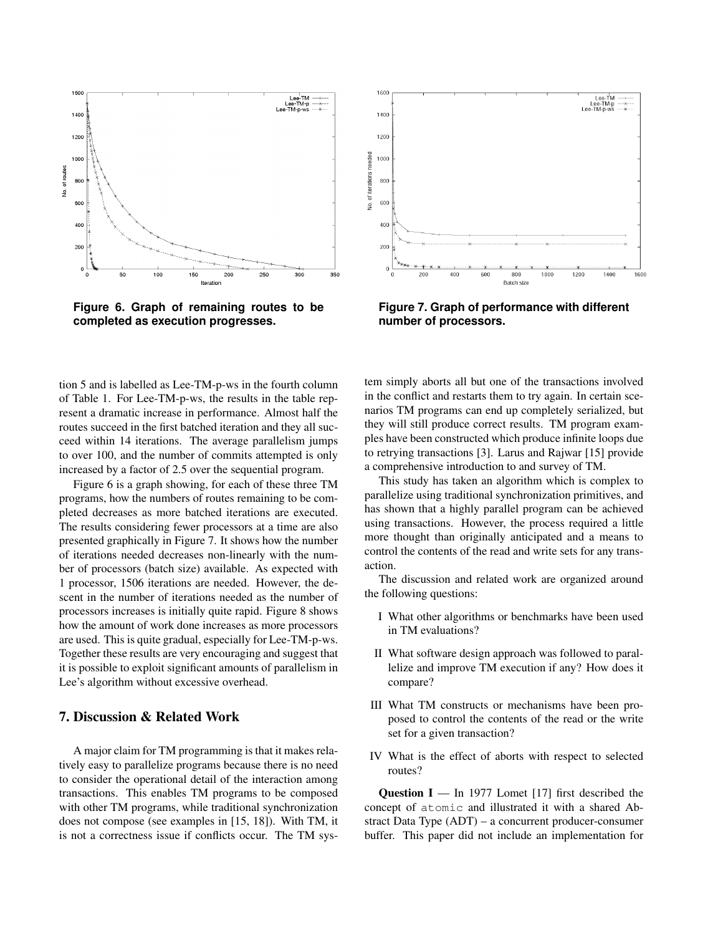

**Figure 6. Graph of remaining routes to be completed as execution progresses.**

tion 5 and is labelled as Lee-TM-p-ws in the fourth column of Table 1. For Lee-TM-p-ws, the results in the table represent a dramatic increase in performance. Almost half the routes succeed in the first batched iteration and they all succeed within 14 iterations. The average parallelism jumps to over 100, and the number of commits attempted is only increased by a factor of 2.5 over the sequential program.

Figure 6 is a graph showing, for each of these three TM programs, how the numbers of routes remaining to be completed decreases as more batched iterations are executed. The results considering fewer processors at a time are also presented graphically in Figure 7. It shows how the number of iterations needed decreases non-linearly with the number of processors (batch size) available. As expected with 1 processor, 1506 iterations are needed. However, the descent in the number of iterations needed as the number of processors increases is initially quite rapid. Figure 8 shows how the amount of work done increases as more processors are used. This is quite gradual, especially for Lee-TM-p-ws. Together these results are very encouraging and suggest that it is possible to exploit significant amounts of parallelism in Lee's algorithm without excessive overhead.

# 7. Discussion & Related Work

A major claim for TM programming is that it makes relatively easy to parallelize programs because there is no need to consider the operational detail of the interaction among transactions. This enables TM programs to be composed with other TM programs, while traditional synchronization does not compose (see examples in [15, 18]). With TM, it is not a correctness issue if conflicts occur. The TM sys-



**Figure 7. Graph of performance with different number of processors.**

tem simply aborts all but one of the transactions involved in the conflict and restarts them to try again. In certain scenarios TM programs can end up completely serialized, but they will still produce correct results. TM program examples have been constructed which produce infinite loops due to retrying transactions [3]. Larus and Rajwar [15] provide a comprehensive introduction to and survey of TM.

This study has taken an algorithm which is complex to parallelize using traditional synchronization primitives, and has shown that a highly parallel program can be achieved using transactions. However, the process required a little more thought than originally anticipated and a means to control the contents of the read and write sets for any transaction.

The discussion and related work are organized around the following questions:

- I What other algorithms or benchmarks have been used in TM evaluations?
- II What software design approach was followed to parallelize and improve TM execution if any? How does it compare?
- III What TM constructs or mechanisms have been proposed to control the contents of the read or the write set for a given transaction?
- IV What is the effect of aborts with respect to selected routes?

**Question I** — In 1977 Lomet [17] first described the concept of atomic and illustrated it with a shared Abstract Data Type (ADT) – a concurrent producer-consumer buffer. This paper did not include an implementation for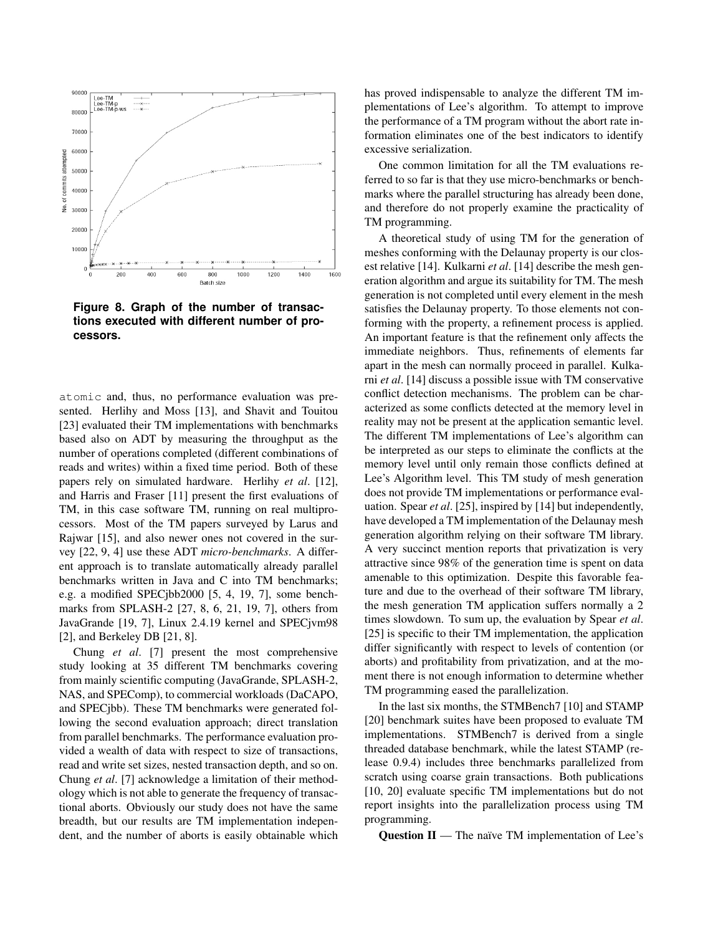

**Figure 8. Graph of the number of transactions executed with different number of processors.**

atomic and, thus, no performance evaluation was presented. Herlihy and Moss [13], and Shavit and Touitou [23] evaluated their TM implementations with benchmarks based also on ADT by measuring the throughput as the number of operations completed (different combinations of reads and writes) within a fixed time period. Both of these papers rely on simulated hardware. Herlihy *et al*. [12], and Harris and Fraser [11] present the first evaluations of TM, in this case software TM, running on real multiprocessors. Most of the TM papers surveyed by Larus and Rajwar [15], and also newer ones not covered in the survey [22, 9, 4] use these ADT *micro-benchmarks*. A different approach is to translate automatically already parallel benchmarks written in Java and C into TM benchmarks; e.g. a modified SPECjbb2000 [5, 4, 19, 7], some benchmarks from SPLASH-2 [27, 8, 6, 21, 19, 7], others from JavaGrande [19, 7], Linux 2.4.19 kernel and SPECjvm98 [2], and Berkeley DB [21, 8].

Chung *et al*. [7] present the most comprehensive study looking at 35 different TM benchmarks covering from mainly scientific computing (JavaGrande, SPLASH-2, NAS, and SPEComp), to commercial workloads (DaCAPO, and SPECjbb). These TM benchmarks were generated following the second evaluation approach; direct translation from parallel benchmarks. The performance evaluation provided a wealth of data with respect to size of transactions, read and write set sizes, nested transaction depth, and so on. Chung *et al*. [7] acknowledge a limitation of their methodology which is not able to generate the frequency of transactional aborts. Obviously our study does not have the same breadth, but our results are TM implementation independent, and the number of aborts is easily obtainable which has proved indispensable to analyze the different TM implementations of Lee's algorithm. To attempt to improve the performance of a TM program without the abort rate information eliminates one of the best indicators to identify excessive serialization.

One common limitation for all the TM evaluations referred to so far is that they use micro-benchmarks or benchmarks where the parallel structuring has already been done, and therefore do not properly examine the practicality of TM programming.

A theoretical study of using TM for the generation of meshes conforming with the Delaunay property is our closest relative [14]. Kulkarni *et al*. [14] describe the mesh generation algorithm and argue its suitability for TM. The mesh generation is not completed until every element in the mesh satisfies the Delaunay property. To those elements not conforming with the property, a refinement process is applied. An important feature is that the refinement only affects the immediate neighbors. Thus, refinements of elements far apart in the mesh can normally proceed in parallel. Kulkarni *et al*. [14] discuss a possible issue with TM conservative conflict detection mechanisms. The problem can be characterized as some conflicts detected at the memory level in reality may not be present at the application semantic level. The different TM implementations of Lee's algorithm can be interpreted as our steps to eliminate the conflicts at the memory level until only remain those conflicts defined at Lee's Algorithm level. This TM study of mesh generation does not provide TM implementations or performance evaluation. Spear *et al*. [25], inspired by [14] but independently, have developed a TM implementation of the Delaunay mesh generation algorithm relying on their software TM library. A very succinct mention reports that privatization is very attractive since 98% of the generation time is spent on data amenable to this optimization. Despite this favorable feature and due to the overhead of their software TM library, the mesh generation TM application suffers normally a 2 times slowdown. To sum up, the evaluation by Spear *et al*. [25] is specific to their TM implementation, the application differ significantly with respect to levels of contention (or aborts) and profitability from privatization, and at the moment there is not enough information to determine whether TM programming eased the parallelization.

In the last six months, the STMBench7 [10] and STAMP [20] benchmark suites have been proposed to evaluate TM implementations. STMBench7 is derived from a single threaded database benchmark, while the latest STAMP (release 0.9.4) includes three benchmarks parallelized from scratch using coarse grain transactions. Both publications [10, 20] evaluate specific TM implementations but do not report insights into the parallelization process using TM programming.

**Question II** — The naïve TM implementation of Lee's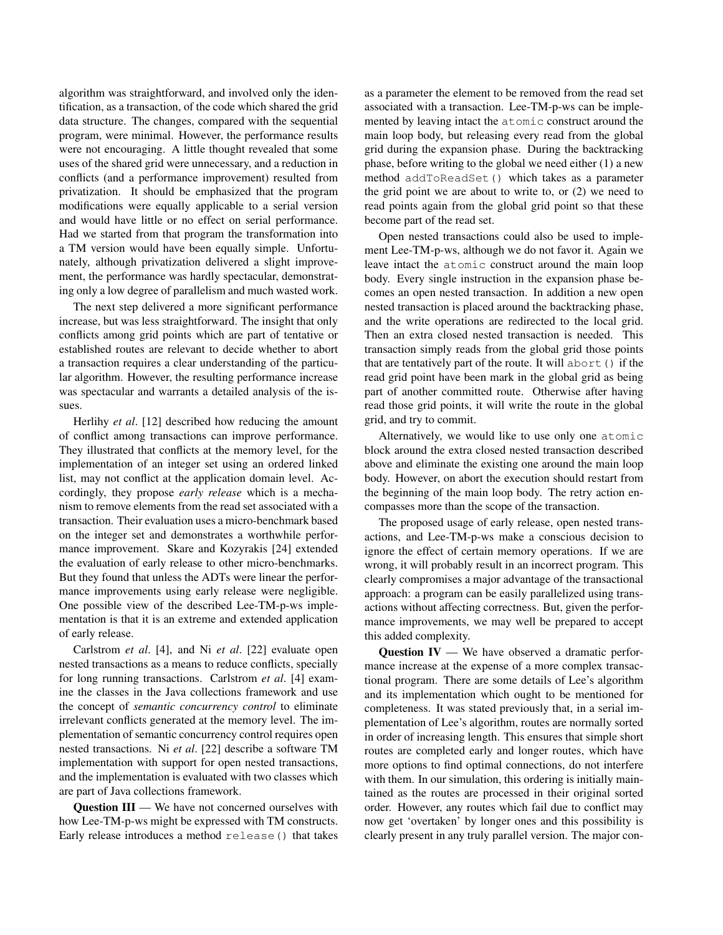algorithm was straightforward, and involved only the identification, as a transaction, of the code which shared the grid data structure. The changes, compared with the sequential program, were minimal. However, the performance results were not encouraging. A little thought revealed that some uses of the shared grid were unnecessary, and a reduction in conflicts (and a performance improvement) resulted from privatization. It should be emphasized that the program modifications were equally applicable to a serial version and would have little or no effect on serial performance. Had we started from that program the transformation into a TM version would have been equally simple. Unfortunately, although privatization delivered a slight improvement, the performance was hardly spectacular, demonstrating only a low degree of parallelism and much wasted work.

The next step delivered a more significant performance increase, but was less straightforward. The insight that only conflicts among grid points which are part of tentative or established routes are relevant to decide whether to abort a transaction requires a clear understanding of the particular algorithm. However, the resulting performance increase was spectacular and warrants a detailed analysis of the issues.

Herlihy *et al*. [12] described how reducing the amount of conflict among transactions can improve performance. They illustrated that conflicts at the memory level, for the implementation of an integer set using an ordered linked list, may not conflict at the application domain level. Accordingly, they propose *early release* which is a mechanism to remove elements from the read set associated with a transaction. Their evaluation uses a micro-benchmark based on the integer set and demonstrates a worthwhile performance improvement. Skare and Kozyrakis [24] extended the evaluation of early release to other micro-benchmarks. But they found that unless the ADTs were linear the performance improvements using early release were negligible. One possible view of the described Lee-TM-p-ws implementation is that it is an extreme and extended application of early release.

Carlstrom *et al*. [4], and Ni *et al*. [22] evaluate open nested transactions as a means to reduce conflicts, specially for long running transactions. Carlstrom *et al*. [4] examine the classes in the Java collections framework and use the concept of *semantic concurrency control* to eliminate irrelevant conflicts generated at the memory level. The implementation of semantic concurrency control requires open nested transactions. Ni *et al*. [22] describe a software TM implementation with support for open nested transactions, and the implementation is evaluated with two classes which are part of Java collections framework.

**Question III** — We have not concerned ourselves with how Lee-TM-p-ws might be expressed with TM constructs. Early release introduces a method release() that takes as a parameter the element to be removed from the read set associated with a transaction. Lee-TM-p-ws can be implemented by leaving intact the atomic construct around the main loop body, but releasing every read from the global grid during the expansion phase. During the backtracking phase, before writing to the global we need either (1) a new method addToReadSet() which takes as a parameter the grid point we are about to write to, or (2) we need to read points again from the global grid point so that these become part of the read set.

Open nested transactions could also be used to implement Lee-TM-p-ws, although we do not favor it. Again we leave intact the atomic construct around the main loop body. Every single instruction in the expansion phase becomes an open nested transaction. In addition a new open nested transaction is placed around the backtracking phase, and the write operations are redirected to the local grid. Then an extra closed nested transaction is needed. This transaction simply reads from the global grid those points that are tentatively part of the route. It will abort() if the read grid point have been mark in the global grid as being part of another committed route. Otherwise after having read those grid points, it will write the route in the global grid, and try to commit.

Alternatively, we would like to use only one atomic block around the extra closed nested transaction described above and eliminate the existing one around the main loop body. However, on abort the execution should restart from the beginning of the main loop body. The retry action encompasses more than the scope of the transaction.

The proposed usage of early release, open nested transactions, and Lee-TM-p-ws make a conscious decision to ignore the effect of certain memory operations. If we are wrong, it will probably result in an incorrect program. This clearly compromises a major advantage of the transactional approach: a program can be easily parallelized using transactions without affecting correctness. But, given the performance improvements, we may well be prepared to accept this added complexity.

Question IV — We have observed a dramatic performance increase at the expense of a more complex transactional program. There are some details of Lee's algorithm and its implementation which ought to be mentioned for completeness. It was stated previously that, in a serial implementation of Lee's algorithm, routes are normally sorted in order of increasing length. This ensures that simple short routes are completed early and longer routes, which have more options to find optimal connections, do not interfere with them. In our simulation, this ordering is initially maintained as the routes are processed in their original sorted order. However, any routes which fail due to conflict may now get 'overtaken' by longer ones and this possibility is clearly present in any truly parallel version. The major con-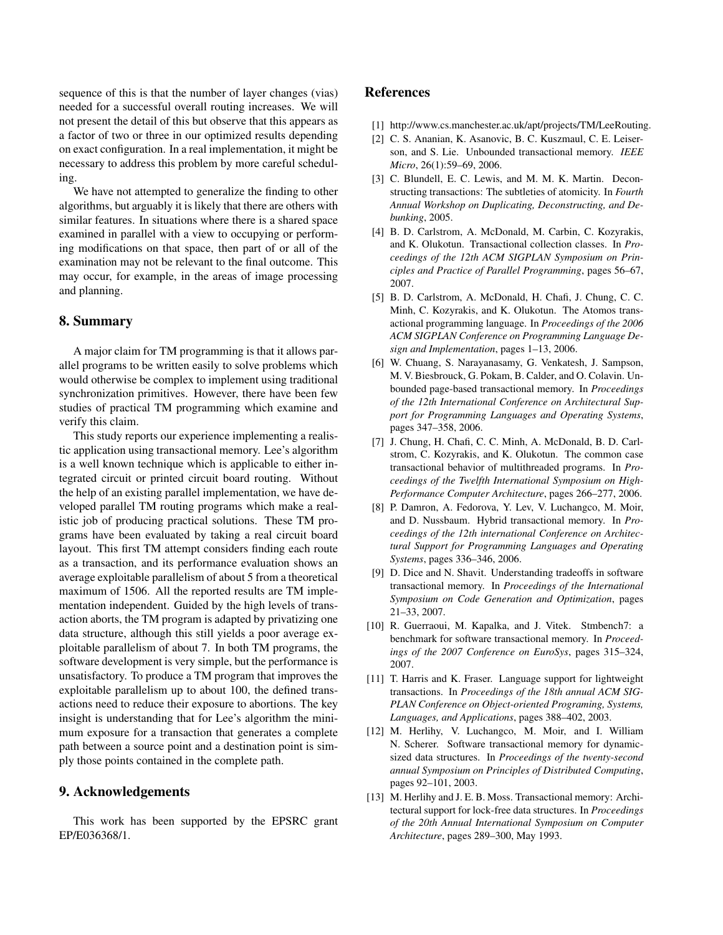sequence of this is that the number of layer changes (vias) needed for a successful overall routing increases. We will not present the detail of this but observe that this appears as a factor of two or three in our optimized results depending on exact configuration. In a real implementation, it might be necessary to address this problem by more careful scheduling.

We have not attempted to generalize the finding to other algorithms, but arguably it is likely that there are others with similar features. In situations where there is a shared space examined in parallel with a view to occupying or performing modifications on that space, then part of or all of the examination may not be relevant to the final outcome. This may occur, for example, in the areas of image processing and planning.

# 8. Summary

A major claim for TM programming is that it allows parallel programs to be written easily to solve problems which would otherwise be complex to implement using traditional synchronization primitives. However, there have been few studies of practical TM programming which examine and verify this claim.

This study reports our experience implementing a realistic application using transactional memory. Lee's algorithm is a well known technique which is applicable to either integrated circuit or printed circuit board routing. Without the help of an existing parallel implementation, we have developed parallel TM routing programs which make a realistic job of producing practical solutions. These TM programs have been evaluated by taking a real circuit board layout. This first TM attempt considers finding each route as a transaction, and its performance evaluation shows an average exploitable parallelism of about 5 from a theoretical maximum of 1506. All the reported results are TM implementation independent. Guided by the high levels of transaction aborts, the TM program is adapted by privatizing one data structure, although this still yields a poor average exploitable parallelism of about 7. In both TM programs, the software development is very simple, but the performance is unsatisfactory. To produce a TM program that improves the exploitable parallelism up to about 100, the defined transactions need to reduce their exposure to abortions. The key insight is understanding that for Lee's algorithm the minimum exposure for a transaction that generates a complete path between a source point and a destination point is simply those points contained in the complete path.

## 9. Acknowledgements

This work has been supported by the EPSRC grant EP/E036368/1.

## References

- [1] http://www.cs.manchester.ac.uk/apt/projects/TM/LeeRouting.
- [2] C. S. Ananian, K. Asanovic, B. C. Kuszmaul, C. E. Leiserson, and S. Lie. Unbounded transactional memory. *IEEE Micro*, 26(1):59–69, 2006.
- [3] C. Blundell, E. C. Lewis, and M. M. K. Martin. Deconstructing transactions: The subtleties of atomicity. In *Fourth Annual Workshop on Duplicating, Deconstructing, and Debunking*, 2005.
- [4] B. D. Carlstrom, A. McDonald, M. Carbin, C. Kozyrakis, and K. Olukotun. Transactional collection classes. In *Proceedings of the 12th ACM SIGPLAN Symposium on Principles and Practice of Parallel Programming*, pages 56–67, 2007.
- [5] B. D. Carlstrom, A. McDonald, H. Chafi, J. Chung, C. C. Minh, C. Kozyrakis, and K. Olukotun. The Atomos transactional programming language. In *Proceedings of the 2006 ACM SIGPLAN Conference on Programming Language Design and Implementation*, pages 1–13, 2006.
- [6] W. Chuang, S. Narayanasamy, G. Venkatesh, J. Sampson, M. V. Biesbrouck, G. Pokam, B. Calder, and O. Colavin. Unbounded page-based transactional memory. In *Proceedings of the 12th International Conference on Architectural Support for Programming Languages and Operating Systems*, pages 347–358, 2006.
- [7] J. Chung, H. Chafi, C. C. Minh, A. McDonald, B. D. Carlstrom, C. Kozyrakis, and K. Olukotun. The common case transactional behavior of multithreaded programs. In *Proceedings of the Twelfth International Symposium on High-Performance Computer Architecture*, pages 266–277, 2006.
- [8] P. Damron, A. Fedorova, Y. Lev, V. Luchangco, M. Moir, and D. Nussbaum. Hybrid transactional memory. In *Proceedings of the 12th international Conference on Architectural Support for Programming Languages and Operating Systems*, pages 336–346, 2006.
- [9] D. Dice and N. Shavit. Understanding tradeoffs in software transactional memory. In *Proceedings of the International Symposium on Code Generation and Optimization*, pages 21–33, 2007.
- [10] R. Guerraoui, M. Kapalka, and J. Vitek. Stmbench7: a benchmark for software transactional memory. In *Proceedings of the 2007 Conference on EuroSys*, pages 315–324, 2007.
- [11] T. Harris and K. Fraser. Language support for lightweight transactions. In *Proceedings of the 18th annual ACM SIG-PLAN Conference on Object-oriented Programing, Systems, Languages, and Applications*, pages 388–402, 2003.
- [12] M. Herlihy, V. Luchangco, M. Moir, and I. William N. Scherer. Software transactional memory for dynamicsized data structures. In *Proceedings of the twenty-second annual Symposium on Principles of Distributed Computing*, pages 92–101, 2003.
- [13] M. Herlihy and J. E. B. Moss. Transactional memory: Architectural support for lock-free data structures. In *Proceedings of the 20th Annual International Symposium on Computer Architecture*, pages 289–300, May 1993.